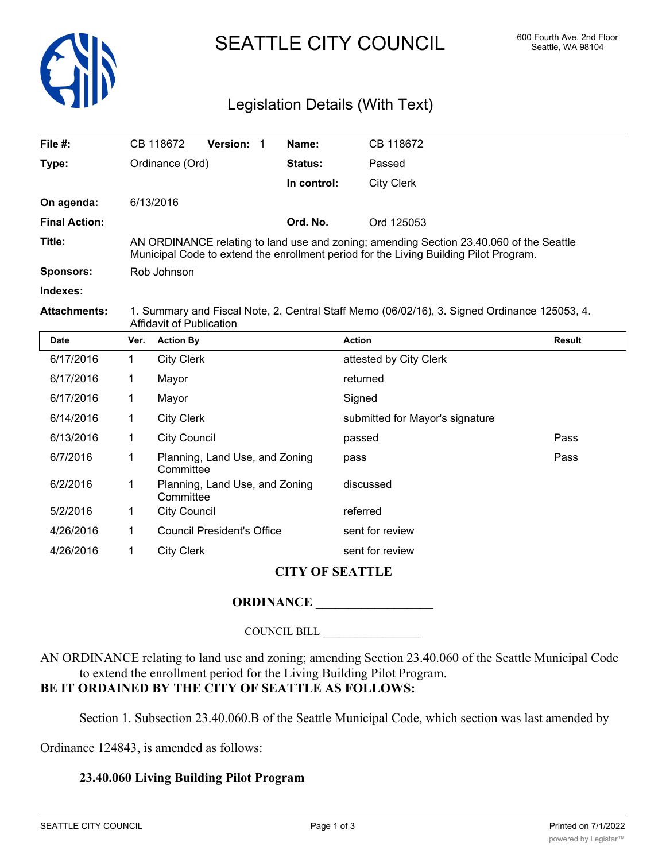

# SEATTLE CITY COUNCIL 600 Fourth Ave. 2nd Floor

## Legislation Details (With Text)

| File $#$ :           |                                                                                                                                                                                  | CB 118672         | <b>Version:</b> |  | Name:       | CB 118672                       |        |
|----------------------|----------------------------------------------------------------------------------------------------------------------------------------------------------------------------------|-------------------|-----------------|--|-------------|---------------------------------|--------|
| Type:                | Ordinance (Ord)                                                                                                                                                                  |                   |                 |  | Status:     | Passed                          |        |
|                      |                                                                                                                                                                                  |                   |                 |  | In control: | <b>City Clerk</b>               |        |
| On agenda:           |                                                                                                                                                                                  | 6/13/2016         |                 |  |             |                                 |        |
| <b>Final Action:</b> |                                                                                                                                                                                  |                   |                 |  | Ord. No.    | Ord 125053                      |        |
| Title:               | AN ORDINANCE relating to land use and zoning; amending Section 23.40.060 of the Seattle<br>Municipal Code to extend the enrollment period for the Living Building Pilot Program. |                   |                 |  |             |                                 |        |
| <b>Sponsors:</b>     | Rob Johnson                                                                                                                                                                      |                   |                 |  |             |                                 |        |
| Indexes:             |                                                                                                                                                                                  |                   |                 |  |             |                                 |        |
| <b>Attachments:</b>  | 1. Summary and Fiscal Note, 2. Central Staff Memo (06/02/16), 3. Signed Ordinance 125053, 4.<br>Affidavit of Publication                                                         |                   |                 |  |             |                                 |        |
| <b>Date</b>          | Ver.                                                                                                                                                                             | <b>Action By</b>  |                 |  |             | <b>Action</b>                   | Result |
| 6/17/2016            | $\mathbf 1$                                                                                                                                                                      | <b>City Clerk</b> |                 |  |             | attested by City Clerk          |        |
| 6/17/2016            | 1                                                                                                                                                                                | Mayor             |                 |  |             | returned                        |        |
| 6/17/2016            |                                                                                                                                                                                  | Mayor             |                 |  |             | Signed                          |        |
| 6/14/2016            |                                                                                                                                                                                  | <b>City Clerk</b> |                 |  |             | submitted for Mayor's signature |        |

#### **CITY OF SEATTLE**

6/13/2016 1 City Council passed Pass 6/7/2016 1 Planning, Land Use, and Zoning pass and the control of the Pass

### **ORDINANCE \_\_\_\_\_\_\_\_\_\_\_\_\_\_\_\_\_\_**

Planning, Land Use, and Zoning discussed

#### COUNCIL BILL \_\_\_\_\_\_\_\_\_\_\_\_\_\_\_\_\_\_

AN ORDINANCE relating to land use and zoning; amending Section 23.40.060 of the Seattle Municipal Code to extend the enrollment period for the Living Building Pilot Program. **BE IT ORDAINED BY THE CITY OF SEATTLE AS FOLLOWS:**

Section 1. Subsection 23.40.060.B of the Seattle Municipal Code, which section was last amended by

Ordinance 124843, is amended as follows:

#### **23.40.060 Living Building Pilot Program**

**Committee** 

**Committee** 

5/2/2016 1 City Council referred

4/26/2016 1 Council President's Office sent for review 4/26/2016 1 City Clerk sent for review

6/2/2016 1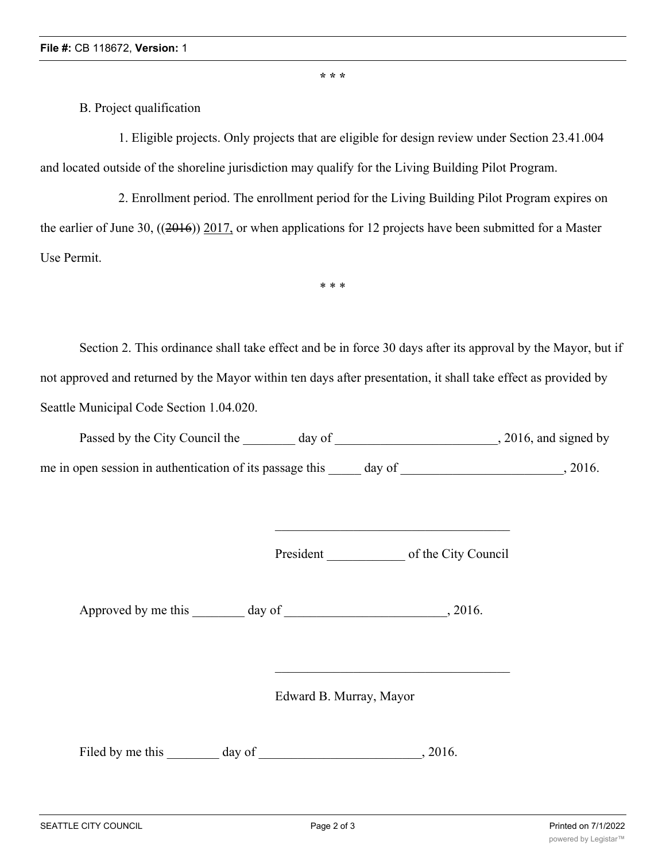**\* \* \***

B. Project qualification

1. Eligible projects. Only projects that are eligible for design review under Section 23.41.004 and located outside of the shoreline jurisdiction may qualify for the Living Building Pilot Program.

2. Enrollment period. The enrollment period for the Living Building Pilot Program expires on the earlier of June 30, ((2016)) 2017, or when applications for 12 projects have been submitted for a Master Use Permit.

\* \* \*

Section 2. This ordinance shall take effect and be in force 30 days after its approval by the Mayor, but if not approved and returned by the Mayor within ten days after presentation, it shall take effect as provided by Seattle Municipal Code Section 1.04.020.

Passed by the City Council the \_\_\_\_\_\_\_ day of \_\_\_\_\_\_\_\_\_\_\_\_\_\_\_\_\_\_\_\_\_\_\_\_, 2016, and signed by

me in open session in authentication of its passage this day of  $\qquad \qquad$ , 2016.

President \_\_\_\_\_\_\_\_\_\_\_\_ of the City Council

Approved by me this day of the case of the case of the case of the case of the case of the case of the case of the case of the case of the case of the case of the case of the case of the case of the case of the case of the

Edward B. Murray, Mayor

Filed by me this day of 3016.